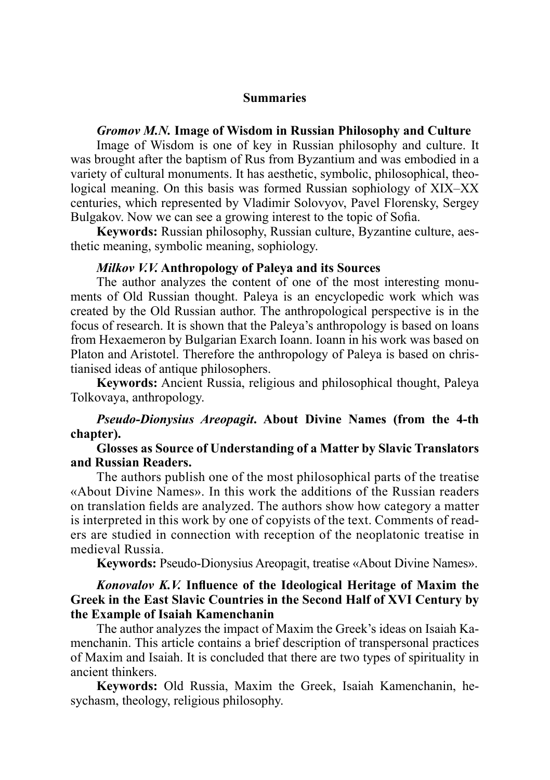#### **Summaries**

#### *Gromov M.N.* **Image of Wisdom in Russian Philosophy and Culture**

Image of Wisdom is one of key in Russian philosophy and culture. It was brought after the baptism of Rus from Byzantium and was embodied in a variety of cultural monuments. It has aesthetic, symbolic, philosophical, theological meaning. On this basis was formed Russian sophiology of XIX–XX centuries, which represented by Vladimir Solovyov, Pavel Florensky, Sergey Bulgakov. Now we can see a growing interest to the topic of Sofia.

**Keywords:** Russian philosophy, Russian culture, Byzantine culture, aesthetic meaning, symbolic meaning, sophiology.

#### *Milkov V.V.* **Anthropology of Paleya and its Sources**

The author analyzes the content of one of the most interesting monuments of Old Russian thought. Paleya is an encyclopedic work which was created by the Old Russian author. The anthropological perspective is in the focus of research. It is shown that the Paleya's anthropology is based on loans from Hexaemeron by Bulgarian Exarch Ioann. Ioann in his work was based on Platon and Aristotel. Therefore the anthropology of Paleya is based on christianised ideas of antique philosophers.

**Keywords:** Ancient Russia, religious and philosophical thought, Paleya Tolkovaya, anthropology.

## *Pseudo-Dionysius Areopagit***. About Divine Names (from the 4-th chapter).**

# **Glosses as Source of Understanding of a Matter by Slavic Translators and Russian Readers.**

The authors publish one of the most philosophical parts of the treatise «About Divine Names». In this work the additions of the Russian readers on translation fields are analyzed. The authors show how category a matter is interpreted in this work by one of copyists of the text. Comments of readers are studied in connection with reception of the neoplatonic treatise in medieval Russia.

**Keywords:** Pseudo-Dionysius Areopagit, treatise «About Divine Names».

# *Konovalov K.V.* **Influence of the Ideological Heritage of Maxim the Greek in the East Slavic Countries in the Second Half of XVI Century by the Example of Isaiah Kamenchanin**

The author analyzes the impact of Maxim the Greek's ideas on Isaiah Kamenchanin. This article contains a brief description of transpersonal practices of Maxim and Isaiah. It is concluded that there are two types of spirituality in ancient thinkers.

**Keywords:** Old Russia, Maxim the Greek, Isaiah Kamenchanin, hesychasm, theology, religious philosophy.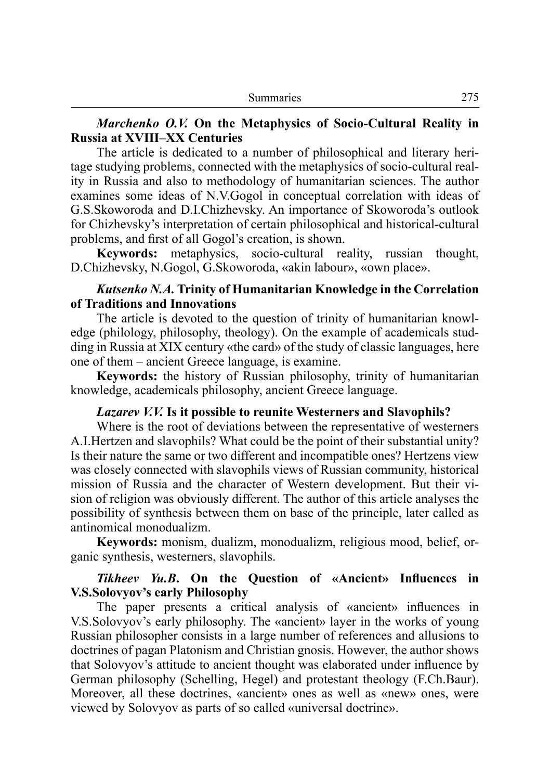#### *Marchenko O.V.* **On the Metaphysics of Socio-Cultural Reality in Russia at XVIII–XX Centuries**

The article is dedicated to a number of philosophical and literary heritage studying problems, connected with the metaphysics of socio-cultural reality in Russia and also to methodology of humanitarian sciences. The author examines some ideas of N.V.Gogol in conceptual correlation with ideas of G.S.Skoworoda and D.I.Chizhevsky. An importance of Skoworoda's outlook for Chizhevsky's interpretation of certain philosophical and historical-cultural problems, and first of all Gogol's creation, is shown.

**Keywords:** metaphysics, socio-cultural reality, russian thought, D.Chizhevsky, N.Gogol, G.Skoworoda, «akin labour», «own place».

## *Kutsenko N.A.* **Trinity of Humanitarian Knowledge in the Correlation of Traditions and Innovations**

The article is devoted to the question of trinity of humanitarian knowledge (philology, philosophy, theology). On the example of academicals studding in Russia at XIX century «the card» of the study of classic languages, here one of them – ancient Greece language, is examine.

**Keywords:** the history of Russian philosophy, trinity of humanitarian knowledge, academicals philosophy, ancient Greece language.

## *Lazarev V.V.* **Is it possible to reunite Westerners and Slavophils?**

Where is the root of deviations between the representative of westerners A.I.Hertzen and slavophils? What could be the point of their substantial unity? Is their nature the same or two different and incompatible ones? Hertzens view was closely connected with slavophils views of Russian community, historical mission of Russia and the character of Western development. But their vision of religion was obviously different. The author of this article analyses the possibility of synthesis between them on base of the principle, later called as antinomical monodualizm.

**Keywords:** monism, dualizm, monodualizm, religious mood, belief, organic synthesis, westerners, slavophils.

## *Tikheev Yu.B***. On the Question of «Ancient» Influences in V.S.Solovyov's early Philosophy**

The paper presents a critical analysis of «ancient» influences in V.S.Solovyov's early philosophy. The «ancient» layer in the works of young Russian philosopher consists in a large number of references and allusions to doctrines of pagan Platonism and Christian gnosis. However, the author shows that Solovyov's attitude to ancient thought was elaborated under influence by German philosophy (Schelling, Hegel) and protestant theology (F.Ch.Baur). Moreover, all these doctrines, «ancient» ones as well as «new» ones, were viewed by Solovyov as parts of so called «universal doctrine».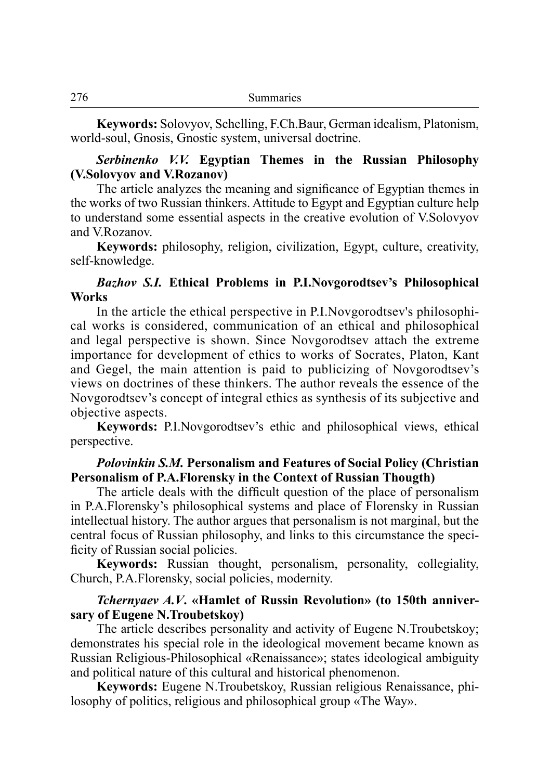**Keywords:** Solovyov, Schelling, F.Ch.Baur, German idealism, Platonism, world-soul, Gnosis, Gnostic system, universal doctrine.

#### *Serbinenko V.V.* **Egyptian Themes in the Russian Philosophy (V.Solovyov and V.Rozanov)**

The article analyzes the meaning and significance of Egyptian themes in the works of two Russian thinkers. Attitude to Egypt and Egyptian culture help to understand some essential aspects in the creative evolution of V.Solovyov and V.Rozanov.

**Keywords:** philosophy, religion, civilization, Egypt, culture, creativity, self-knowledge.

## *Bazhov S.I.* **Ethical Problems in P.I.Novgorodtsev's Philosophical Works**

In the article the ethical perspective in P.I.Novgorodtsev's philosophical works is considered, communication of an ethical and philosophical and legal perspective is shown. Since Novgorodtsev attach the extreme importance for development of ethics to works of Socrates, Platon, Kant and Gegel, the main attention is paid to publicizing of Novgorodtsev's views on doctrines of these thinkers. The author reveals the essence of the Novgorodtsev's concept of integral ethics as synthesis of its subjective and objective aspects.

**Keywords:** P.I.Novgorodtsev's ethic and philosophical views, ethical perspective.

#### *Polovinkin S.M.* **Personalism and Features of Social Policy (Christian Personalism of P.A.Florensky in the Context of Russian Thougth)**

The article deals with the difficult question of the place of personalism in P.A.Florensky's philosophical systems and place of Florensky in Russian intellectual history. The author argues that personalism is not marginal, but the central focus of Russian philosophy, and links to this circumstance the speci ficity of Russian social policies.

**Keywords:** Russian thought, personalism, personality, collegiality, Church, P.A.Florensky, social policies, modernity.

# *Tchernyaev A.V***. «Hamlet of Russin Revolution» (to 150th anniversary of Eugene N.Troubetskoy)**

The article describes personality and activity of Eugene N.Troubetskoy; demonstrates his special role in the ideological movement became known as Russian Religious-Philosophical «Renaissance»; states ideological ambiguity and political nature of this cultural and historical phenomenon.

**Keywords:** Eugene N.Troubetskoy, Russian religious Renaissance, philosophy of politics, religious and philosophical group «The Way».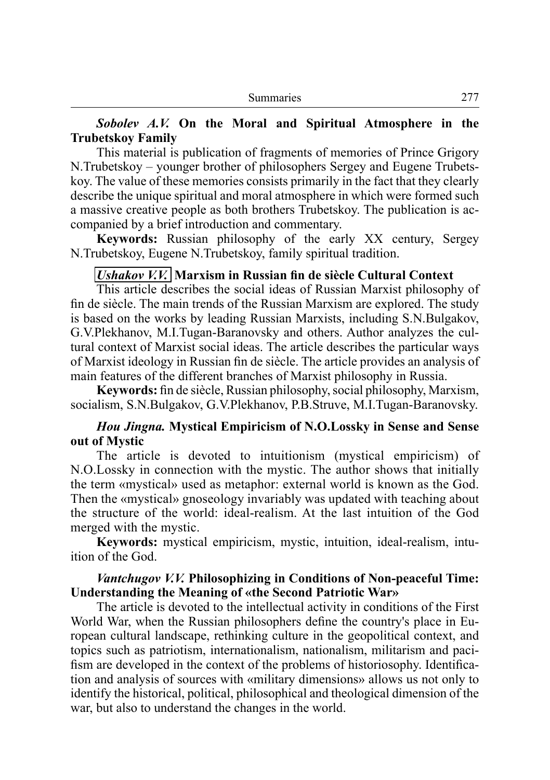## *Sobolev A.V.* **On the Moral and Spiritual Atmosphere in the Trubetskoy Family**

This material is publication of fragments of memories of Prince Grigory N.Trubetskoy – younger brother of philosophers Sergey and Eugene Trubetskoy. The value of these memories consists primarily in the fact that they clearly describe the unique spiritual and moral atmosphere in which were formed such a massive creative people as both brothers Trubetskoy. The publication is accompanied by a brief introduction and commentary.

**Keywords:** Russian philosophy of the early XX century, Sergey N.Trubetskoy, Eugene N.Trubetskoy, family spiritual tradition.

#### *Ushakov V.V.* **Marxism in Russian fin de siècle Cultural Context**

This article describes the social ideas of Russian Marxist philosophy of fin de siècle. The main trends of the Russian Marxism are explored. The study is based on the works by leading Russian Marxists, including S.N.Bulgakov, G.V.Plekhanov, M.I.Tugan-Baranovsky and others. Author analyzes the cultural context of Marxist social ideas. The article describes the particular ways of Marxist ideology in Russian fin de siècle. The article provides an analysis of main features of the different branches of Marxist philosophy in Russia.

**Keywords:** fin de siècle, Russian philosophy, social philosophy, Marxism, socialism, S.N.Bulgakov, G.V.Plekhanov, P.B.Struve, M.I.Tugan-Baranovsky.

### *Hou Jingna.* **Mystical Empiricism of N.O.Lossky in Sense and Sense out of Mystic**

The article is devoted to intuitionism (mystical empiricism) of N.O.Lossky in connection with the mystic. The author shows that initially the term «mystical» used as metaphor: external world is known as the God. Then the «mystical» gnoseology invariably was updated with teaching about the structure of the world: ideal-realism. At the last intuition of the God merged with the mystic.

**Keywords:** mystical empiricism, mystic, intuition, ideal-realism, intuition of the God.

#### *Vantchugov V.V.* **Philosophizing in Conditions of Non-peaceful Time: Understanding the Meaning of «the Second Patriotic War»**

The article is devoted to the intellectual activity in conditions of the First World War, when the Russian philosophers define the country's place in Eu ropean cultural landscape, rethinking culture in the geopolitical context, and topics such as patriotism, internationalism, nationalism, militarism and paci fism are developed in the context of the problems of historiosophy. Identification and analysis of sources with «military dimensions» allows us not only to identify the historical, political, philosophical and theological dimension of the war, but also to understand the changes in the world.